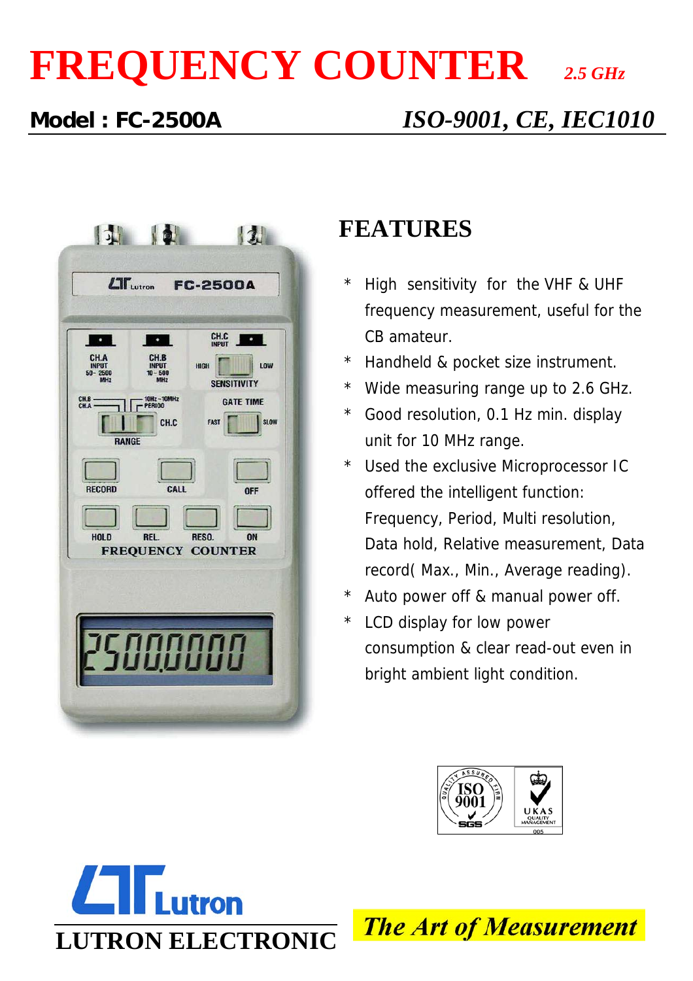# **FREQUENCY COUNTER** *2.5 GHz*

## **Model : FC-2500A** *ISO-9001, CE, IEC1010*



### **FEATURES**

- \* High sensitivity for the VHF & UHF frequency measurement, useful for the CB amateur.
- \* Handheld & pocket size instrument.
- \* Wide measuring range up to 2.6 GHz.
- \* Good resolution, 0.1 Hz min. display unit for 10 MHz range.
- \* Used the exclusive Microprocessor IC offered the intelligent function: Frequency, Period, Multi resolution, Data hold, Relative measurement, Data record( Max., Min., Average reading).
- \* Auto power off & manual power off.
- \* LCD display for low power consumption & clear read-out even in bright ambient light condition.





**The Art of Measurement**